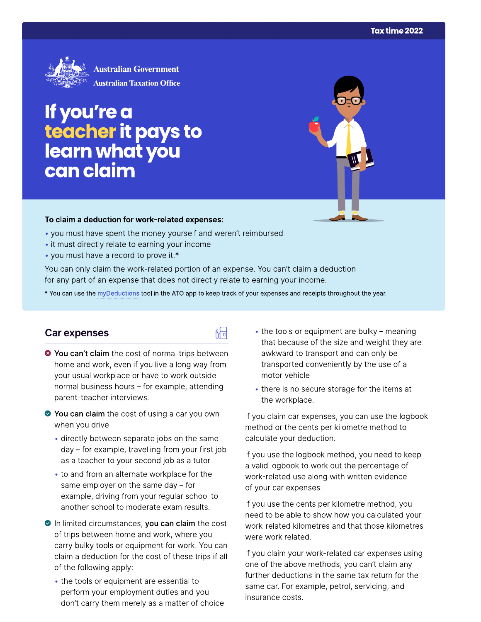

# If you're a teacher it pays to<br>learn what you can claim

#### To claim a deduction for work-related expenses:

- you must have spent the money yourself and weren't reimbursed
- it must directly relate to earning your income
- you must have a record to prove it.\*

You can only claim the work-related portion of an expense. You can't claim a deduction for any part of an expense that does not directly relate to earning your income.

\* You can use the myDeductions tool in the ATO app to keep track of your expenses and receipts throughout the year.

品

#### Car expenses

- <sup>●</sup> You can't claim the cost of normal trips between home and work, even if you live a long way from your usual workplace or have to work outside normal business hours - for example, attending parent-teacher interviews.
- ◆ You can claim the cost of using a car you own when you drive:
	- directly between separate jobs on the same day - for example, travelling from your first job as a teacher to your second job as a tutor
	- to and from an alternate workplace for the same employer on the same day  $-$  for example, driving from your regular school to another school to moderate exam results.
- In limited circumstances, you can claim the cost of trips between home and work, where you carry bulky tools or equipment for work. You can claim a deduction for the cost of these trips if all of the following apply:
	- the tools or equipment are essential to perform your employment duties and you don't carry them merely as a matter of choice
- the tools or equipment are bulky meaning that because of the size and weight they are awkward to transport and can only be transported conveniently by the use of a motor vehicle
- there is no secure storage for the items at the workplace.

If you claim car expenses, you can use the logbook method or the cents per kilometre method to calculate your deduction.

If you use the logbook method, you need to keep a valid logbook to work out the percentage of work-related use along with written evidence of your car expenses.

If you use the cents per kilometre method, you need to be able to show how you calculated your work-related kilometres and that those kilometres were work related.

If you claim your work-related car expenses using one of the above methods, you can't claim any further deductions in the same tax return for the same car. For example, petrol, servicing, and insurance costs.